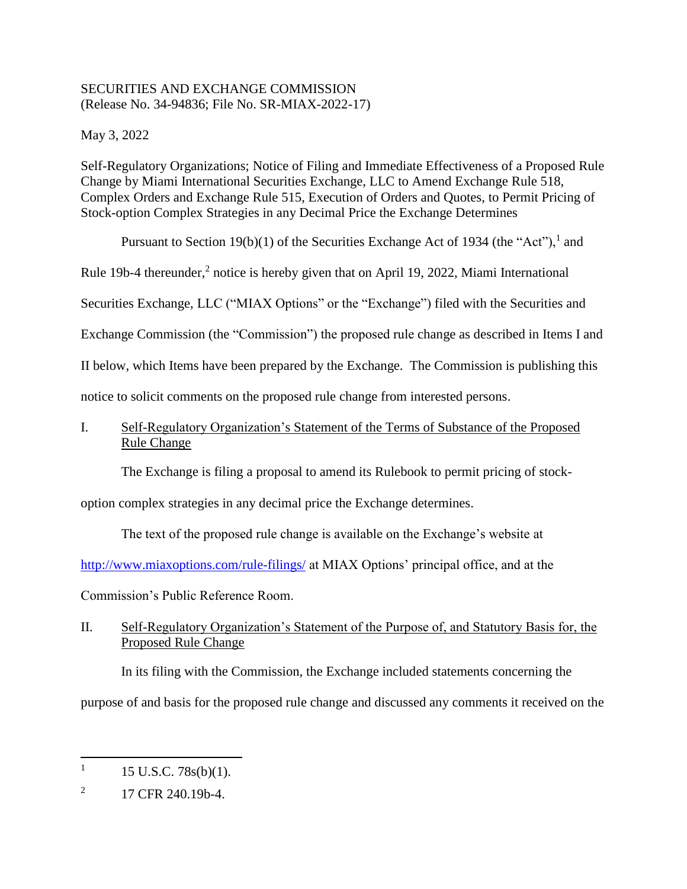## SECURITIES AND EXCHANGE COMMISSION (Release No. 34-94836; File No. SR-MIAX-2022-17)

May 3, 2022

Self-Regulatory Organizations; Notice of Filing and Immediate Effectiveness of a Proposed Rule Change by Miami International Securities Exchange, LLC to Amend Exchange Rule 518, Complex Orders and Exchange Rule 515, Execution of Orders and Quotes, to Permit Pricing of Stock-option Complex Strategies in any Decimal Price the Exchange Determines

Pursuant to Section 19(b)(1) of the Securities Exchange Act of 1934 (the "Act"),<sup>1</sup> and

Rule 19b-4 thereunder,<sup>2</sup> notice is hereby given that on April 19, 2022, Miami International

Securities Exchange, LLC ("MIAX Options" or the "Exchange") filed with the Securities and

Exchange Commission (the "Commission") the proposed rule change as described in Items I and

II below, which Items have been prepared by the Exchange. The Commission is publishing this

notice to solicit comments on the proposed rule change from interested persons.

# I. Self-Regulatory Organization's Statement of the Terms of Substance of the Proposed Rule Change

The Exchange is filing a proposal to amend its Rulebook to permit pricing of stock-

option complex strategies in any decimal price the Exchange determines.

The text of the proposed rule change is available on the Exchange's website at

[http://www.miaxoptions.com/rule-filings/](http://www.miaxoptions.com/rule-filings/pearl) at MIAX Options' principal office, and at the

Commission's Public Reference Room.

# II. Self-Regulatory Organization's Statement of the Purpose of, and Statutory Basis for, the Proposed Rule Change

In its filing with the Commission, the Exchange included statements concerning the purpose of and basis for the proposed rule change and discussed any comments it received on the

<sup>1</sup> 15 U.S.C. 78s(b)(1).

<sup>2</sup> 17 CFR 240.19b-4.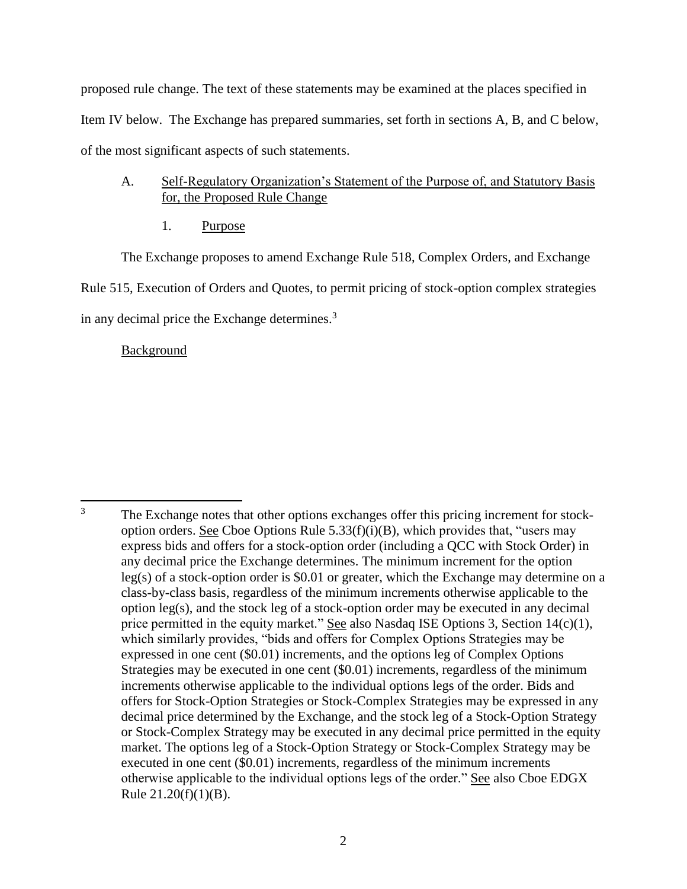proposed rule change. The text of these statements may be examined at the places specified in Item IV below. The Exchange has prepared summaries, set forth in sections A, B, and C below, of the most significant aspects of such statements.

## A. Self-Regulatory Organization's Statement of the Purpose of, and Statutory Basis for, the Proposed Rule Change

<span id="page-1-0"></span>1. Purpose

The Exchange proposes to amend Exchange Rule 518, Complex Orders, and Exchange Rule 515, Execution of Orders and Quotes, to permit pricing of stock-option complex strategies in any decimal price the Exchange determines.<sup>3</sup>

## Background

 $\overline{3}$ The Exchange notes that other options exchanges offer this pricing increment for stockoption orders. See Cboe Options Rule  $5.33(f)(i)(B)$ , which provides that, "users may express bids and offers for a stock-option order (including a QCC with Stock Order) in any decimal price the Exchange determines. The minimum increment for the option leg(s) of a stock-option order is \$0.01 or greater, which the Exchange may determine on a class-by-class basis, regardless of the minimum increments otherwise applicable to the option leg(s), and the stock leg of a stock-option order may be executed in any decimal price permitted in the equity market." See also Nasdaq ISE Options 3, Section 14(c)(1), which similarly provides, "bids and offers for Complex Options Strategies may be expressed in one cent (\$0.01) increments, and the options leg of Complex Options Strategies may be executed in one cent (\$0.01) increments, regardless of the minimum increments otherwise applicable to the individual options legs of the order. Bids and offers for Stock-Option Strategies or Stock-Complex Strategies may be expressed in any decimal price determined by the Exchange, and the stock leg of a Stock-Option Strategy or Stock-Complex Strategy may be executed in any decimal price permitted in the equity market. The options leg of a Stock-Option Strategy or Stock-Complex Strategy may be executed in one cent (\$0.01) increments, regardless of the minimum increments otherwise applicable to the individual options legs of the order." See also Cboe EDGX Rule 21.20(f)(1)(B).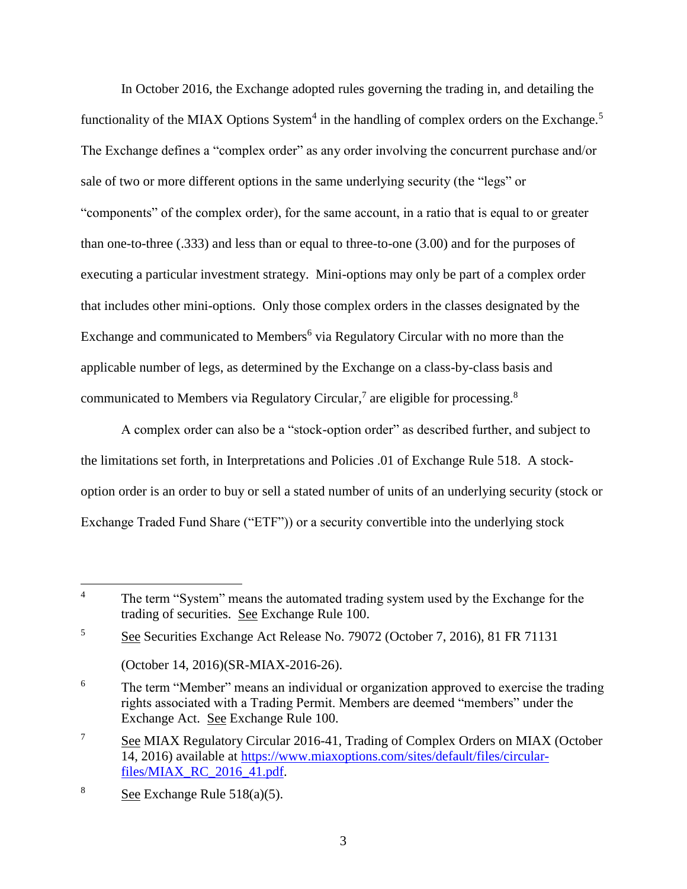In October 2016, the Exchange adopted rules governing the trading in, and detailing the functionality of the MIAX Options System<sup>4</sup> in the handling of complex orders on the Exchange.<sup>5</sup> The Exchange defines a "complex order" as any order involving the concurrent purchase and/or sale of two or more different options in the same underlying security (the "legs" or "components" of the complex order), for the same account, in a ratio that is equal to or greater than one-to-three (.333) and less than or equal to three-to-one (3.00) and for the purposes of executing a particular investment strategy. Mini-options may only be part of a complex order that includes other mini-options. Only those complex orders in the classes designated by the Exchange and communicated to Members<sup>6</sup> via Regulatory Circular with no more than the applicable number of legs, as determined by the Exchange on a class-by-class basis and communicated to Members via Regulatory Circular,<sup>7</sup> are eligible for processing.<sup>8</sup>

A complex order can also be a "stock-option order" as described further, and subject to the limitations set forth, in Interpretations and Policies .01 of Exchange Rule 518. A stockoption order is an order to buy or sell a stated number of units of an underlying security (stock or Exchange Traded Fund Share ("ETF")) or a security convertible into the underlying stock

 $\overline{4}$ The term "System" means the automated trading system used by the Exchange for the trading of securities. See Exchange Rule 100.

<sup>5</sup> See Securities Exchange Act Release No. 79072 (October 7, 2016), 81 FR 71131

<sup>(</sup>October 14, 2016)(SR-MIAX-2016-26).

<sup>&</sup>lt;sup>6</sup> The term "Member" means an individual or organization approved to exercise the trading rights associated with a Trading Permit. Members are deemed "members" under the Exchange Act. See Exchange Rule 100.

<sup>&</sup>lt;sup>7</sup> See MIAX Regulatory Circular 2016-41, Trading of Complex Orders on MIAX (October 14, 2016) available at [https://www.miaxoptions.com/sites/default/files/circular](https://www.miaxoptions.com/sites/default/files/circular-files/MIAX_RC_2016_41.pdf)[files/MIAX\\_RC\\_2016\\_41.pdf.](https://www.miaxoptions.com/sites/default/files/circular-files/MIAX_RC_2016_41.pdf)

<sup>&</sup>lt;sup>8</sup> See Exchange Rule  $518(a)(5)$ .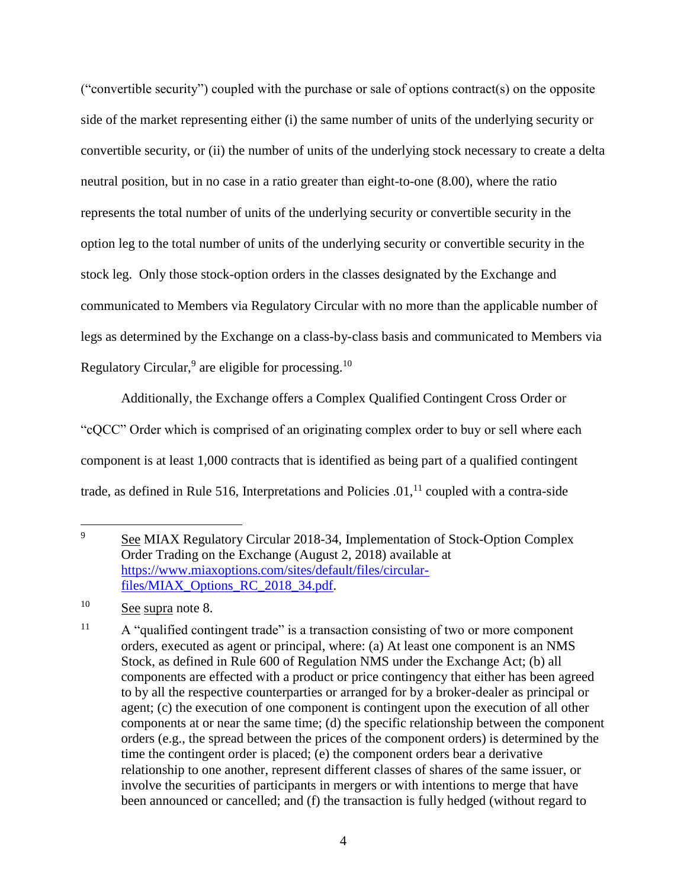("convertible security") coupled with the purchase or sale of options contract(s) on the opposite side of the market representing either (i) the same number of units of the underlying security or convertible security, or (ii) the number of units of the underlying stock necessary to create a delta neutral position, but in no case in a ratio greater than eight-to-one (8.00), where the ratio represents the total number of units of the underlying security or convertible security in the option leg to the total number of units of the underlying security or convertible security in the stock leg. Only those stock-option orders in the classes designated by the Exchange and communicated to Members via Regulatory Circular with no more than the applicable number of legs as determined by the Exchange on a class-by-class basis and communicated to Members via Regulatory Circular,  $9$  are eligible for processing.<sup>10</sup>

Additionally, the Exchange offers a Complex Qualified Contingent Cross Order or "cQCC" Order which is comprised of an originating complex order to buy or sell where each component is at least 1,000 contracts that is identified as being part of a qualified contingent trade, as defined in Rule 516, Interpretations and Policies  $.01<sup>11</sup>$  coupled with a contra-side

<sup>&</sup>lt;sup>9</sup> See MIAX Regulatory Circular 2018-34, Implementation of Stock-Option Complex Order Trading on the Exchange (August 2, 2018) available at [https://www.miaxoptions.com/sites/default/files/circular](https://www.miaxoptions.com/sites/default/files/circular-files/MIAX_Options_RC_2018_34.pdf)[files/MIAX\\_Options\\_RC\\_2018\\_34.pdf.](https://www.miaxoptions.com/sites/default/files/circular-files/MIAX_Options_RC_2018_34.pdf)

<sup>&</sup>lt;sup>10</sup> See supra note 8.

<sup>&</sup>lt;sup>11</sup> A "qualified contingent trade" is a transaction consisting of two or more component orders, executed as agent or principal, where: (a) At least one component is an NMS Stock, as defined in Rule 600 of Regulation NMS under the Exchange Act; (b) all components are effected with a product or price contingency that either has been agreed to by all the respective counterparties or arranged for by a broker-dealer as principal or agent; (c) the execution of one component is contingent upon the execution of all other components at or near the same time; (d) the specific relationship between the component orders (e.g., the spread between the prices of the component orders) is determined by the time the contingent order is placed; (e) the component orders bear a derivative relationship to one another, represent different classes of shares of the same issuer, or involve the securities of participants in mergers or with intentions to merge that have been announced or cancelled; and (f) the transaction is fully hedged (without regard to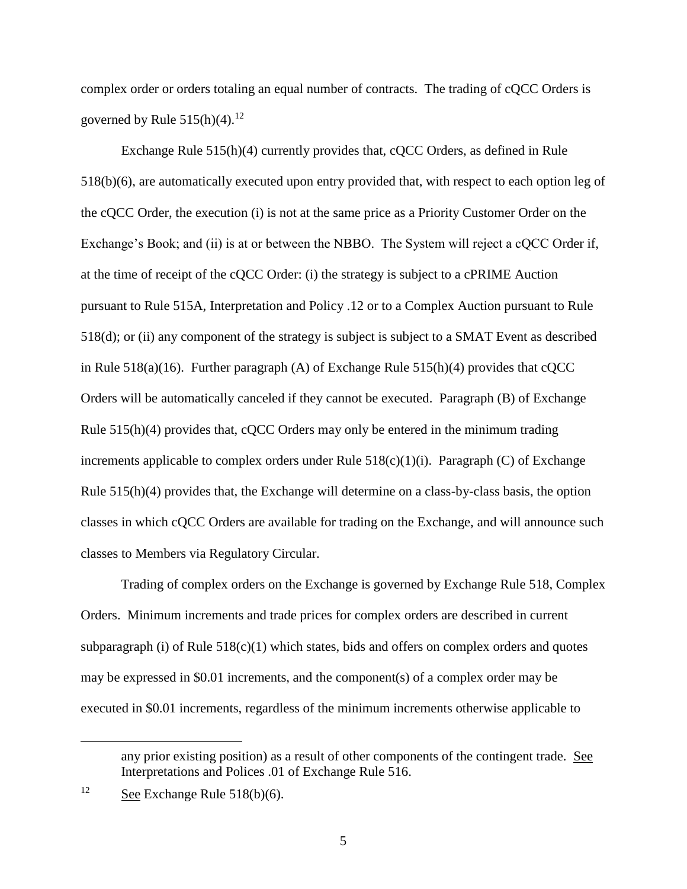complex order or orders totaling an equal number of contracts. The trading of cQCC Orders is governed by Rule  $515(h)(4)$ .<sup>12</sup>

Exchange Rule 515(h)(4) currently provides that, cQCC Orders, as defined in Rule 518(b)(6), are automatically executed upon entry provided that, with respect to each option leg of the cQCC Order, the execution (i) is not at the same price as a Priority Customer Order on the Exchange's Book; and (ii) is at or between the NBBO. The System will reject a cQCC Order if, at the time of receipt of the cQCC Order: (i) the strategy is subject to a cPRIME Auction pursuant to Rule 515A, Interpretation and Policy .12 or to a Complex Auction pursuant to Rule 518(d); or (ii) any component of the strategy is subject is subject to a SMAT Event as described in Rule  $518(a)(16)$ . Further paragraph (A) of Exchange Rule  $515(h)(4)$  provides that cQCC Orders will be automatically canceled if they cannot be executed. Paragraph (B) of Exchange Rule 515(h)(4) provides that, cQCC Orders may only be entered in the minimum trading increments applicable to complex orders under Rule  $518(c)(1)(i)$ . Paragraph (C) of Exchange Rule 515(h)(4) provides that, the Exchange will determine on a class-by-class basis, the option classes in which cQCC Orders are available for trading on the Exchange, and will announce such classes to Members via Regulatory Circular.

Trading of complex orders on the Exchange is governed by Exchange Rule 518, Complex Orders. Minimum increments and trade prices for complex orders are described in current subparagraph (i) of Rule  $518(c)(1)$  which states, bids and offers on complex orders and quotes may be expressed in \$0.01 increments, and the component(s) of a complex order may be executed in \$0.01 increments, regardless of the minimum increments otherwise applicable to

any prior existing position) as a result of other components of the contingent trade. See Interpretations and Polices .01 of Exchange Rule 516.

<sup>&</sup>lt;sup>12</sup> See Exchange Rule 518(b)(6).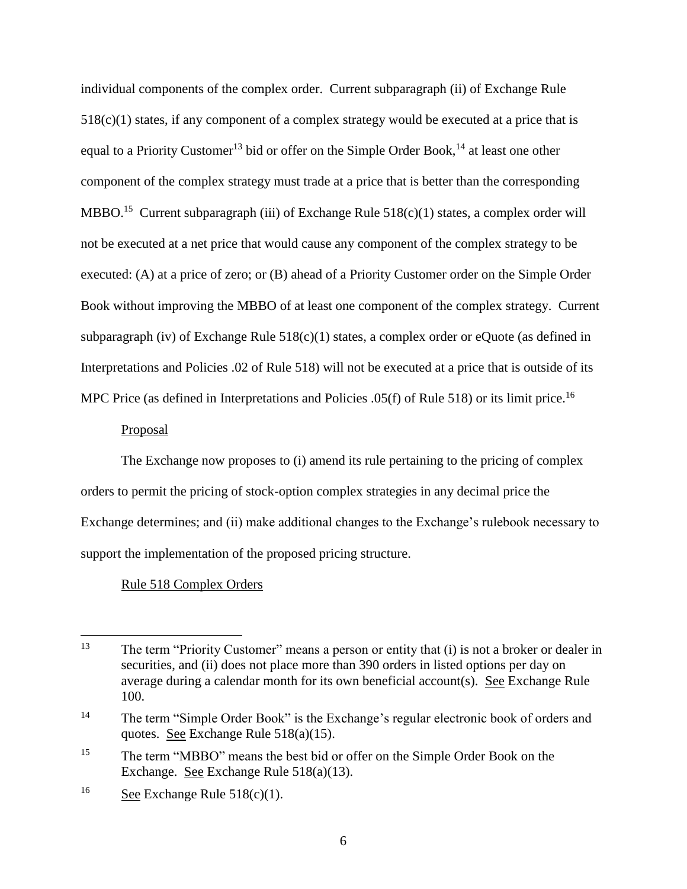individual components of the complex order. Current subparagraph (ii) of Exchange Rule  $518(c)(1)$  states, if any component of a complex strategy would be executed at a price that is equal to a Priority Customer<sup>13</sup> bid or offer on the Simple Order Book,<sup>14</sup> at least one other component of the complex strategy must trade at a price that is better than the corresponding MBBO.<sup>15</sup> Current subparagraph (iii) of Exchange Rule  $518(c)(1)$  states, a complex order will not be executed at a net price that would cause any component of the complex strategy to be executed: (A) at a price of zero; or (B) ahead of a Priority Customer order on the Simple Order Book without improving the MBBO of at least one component of the complex strategy. Current subparagraph (iv) of Exchange Rule  $518(c)(1)$  states, a complex order or eQuote (as defined in Interpretations and Policies .02 of Rule 518) will not be executed at a price that is outside of its MPC Price (as defined in Interpretations and Policies .05(f) of Rule 518) or its limit price.<sup>16</sup>

## Proposal

The Exchange now proposes to (i) amend its rule pertaining to the pricing of complex orders to permit the pricing of stock-option complex strategies in any decimal price the Exchange determines; and (ii) make additional changes to the Exchange's rulebook necessary to support the implementation of the proposed pricing structure.

## Rule 518 Complex Orders

 $\overline{a}$ <sup>13</sup> The term "Priority Customer" means a person or entity that (i) is not a broker or dealer in securities, and (ii) does not place more than 390 orders in listed options per day on average during a calendar month for its own beneficial account(s). See Exchange Rule 100.

<sup>&</sup>lt;sup>14</sup> The term "Simple Order Book" is the Exchange's regular electronic book of orders and quotes. See Exchange Rule 518(a)(15).

<sup>&</sup>lt;sup>15</sup> The term "MBBO" means the best bid or offer on the Simple Order Book on the Exchange. See Exchange Rule 518(a)(13).

<sup>&</sup>lt;sup>16</sup> See Exchange Rule  $518(c)(1)$ .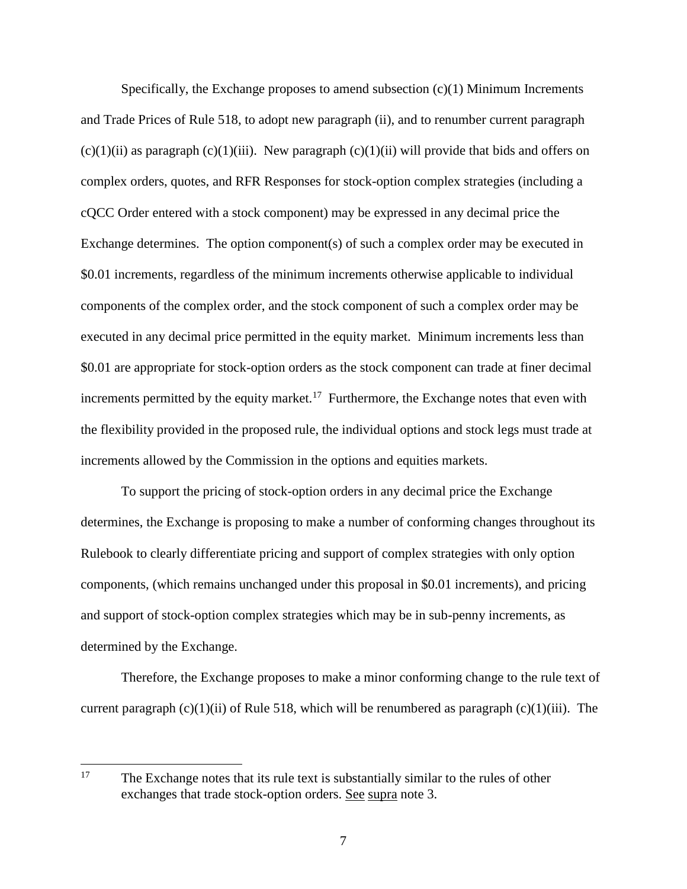Specifically, the Exchange proposes to amend subsection  $(c)(1)$  Minimum Increments and Trade Prices of Rule 518, to adopt new paragraph (ii), and to renumber current paragraph  $(c)(1)(ii)$  as paragraph  $(c)(1)(iii)$ . New paragraph  $(c)(1)(ii)$  will provide that bids and offers on complex orders, quotes, and RFR Responses for stock-option complex strategies (including a cQCC Order entered with a stock component) may be expressed in any decimal price the Exchange determines. The option component(s) of such a complex order may be executed in \$0.01 increments, regardless of the minimum increments otherwise applicable to individual components of the complex order, and the stock component of such a complex order may be executed in any decimal price permitted in the equity market. Minimum increments less than \$0.01 are appropriate for stock-option orders as the stock component can trade at finer decimal increments permitted by the equity market.<sup>17</sup> Furthermore, the Exchange notes that even with the flexibility provided in the proposed rule, the individual options and stock legs must trade at increments allowed by the Commission in the options and equities markets.

To support the pricing of stock-option orders in any decimal price the Exchange determines, the Exchange is proposing to make a number of conforming changes throughout its Rulebook to clearly differentiate pricing and support of complex strategies with only option components, (which remains unchanged under this proposal in \$0.01 increments), and pricing and support of stock-option complex strategies which may be in sub-penny increments, as determined by the Exchange.

Therefore, the Exchange proposes to make a minor conforming change to the rule text of current paragraph  $(c)(1)(ii)$  of Rule 518, which will be renumbered as paragraph  $(c)(1)(iii)$ . The

<sup>17</sup> The Exchange notes that its rule text is substantially similar to the rules of other exchanges that trade stock-option orders. See supra note 3.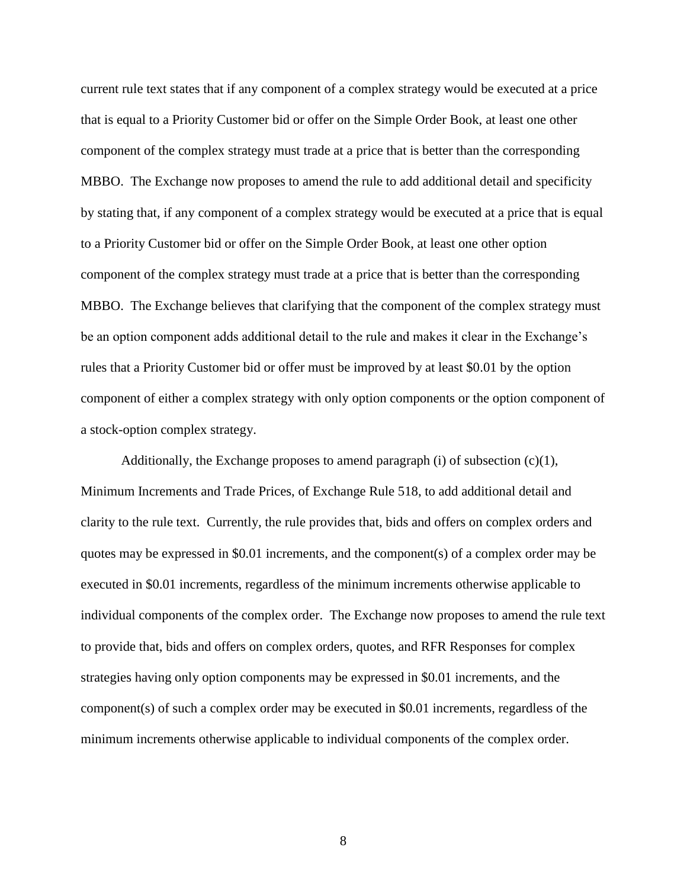current rule text states that if any component of a complex strategy would be executed at a price that is equal to a Priority Customer bid or offer on the Simple Order Book, at least one other component of the complex strategy must trade at a price that is better than the corresponding MBBO. The Exchange now proposes to amend the rule to add additional detail and specificity by stating that, if any component of a complex strategy would be executed at a price that is equal to a Priority Customer bid or offer on the Simple Order Book, at least one other option component of the complex strategy must trade at a price that is better than the corresponding MBBO. The Exchange believes that clarifying that the component of the complex strategy must be an option component adds additional detail to the rule and makes it clear in the Exchange's rules that a Priority Customer bid or offer must be improved by at least \$0.01 by the option component of either a complex strategy with only option components or the option component of a stock-option complex strategy.

Additionally, the Exchange proposes to amend paragraph (i) of subsection  $(c)(1)$ , Minimum Increments and Trade Prices, of Exchange Rule 518, to add additional detail and clarity to the rule text. Currently, the rule provides that, bids and offers on complex orders and quotes may be expressed in \$0.01 increments, and the component(s) of a complex order may be executed in \$0.01 increments, regardless of the minimum increments otherwise applicable to individual components of the complex order. The Exchange now proposes to amend the rule text to provide that, bids and offers on complex orders, quotes, and RFR Responses for complex strategies having only option components may be expressed in \$0.01 increments, and the component(s) of such a complex order may be executed in \$0.01 increments, regardless of the minimum increments otherwise applicable to individual components of the complex order.

8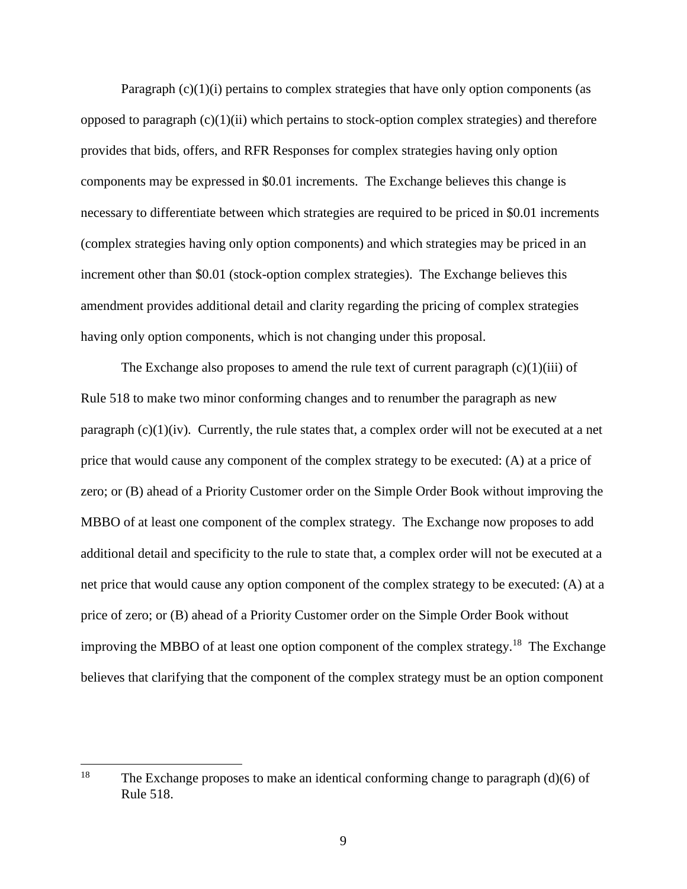Paragraph  $(c)(1)(i)$  pertains to complex strategies that have only option components (as opposed to paragraph  $(c)(1)(ii)$  which pertains to stock-option complex strategies) and therefore provides that bids, offers, and RFR Responses for complex strategies having only option components may be expressed in \$0.01 increments. The Exchange believes this change is necessary to differentiate between which strategies are required to be priced in \$0.01 increments (complex strategies having only option components) and which strategies may be priced in an increment other than \$0.01 (stock-option complex strategies). The Exchange believes this amendment provides additional detail and clarity regarding the pricing of complex strategies having only option components, which is not changing under this proposal.

The Exchange also proposes to amend the rule text of current paragraph  $(c)(1)(iii)$  of Rule 518 to make two minor conforming changes and to renumber the paragraph as new paragraph  $(c)(1)(iv)$ . Currently, the rule states that, a complex order will not be executed at a net price that would cause any component of the complex strategy to be executed: (A) at a price of zero; or (B) ahead of a Priority Customer order on the Simple Order Book without improving the MBBO of at least one component of the complex strategy. The Exchange now proposes to add additional detail and specificity to the rule to state that, a complex order will not be executed at a net price that would cause any option component of the complex strategy to be executed: (A) at a price of zero; or (B) ahead of a Priority Customer order on the Simple Order Book without improving the MBBO of at least one option component of the complex strategy.<sup>18</sup> The Exchange believes that clarifying that the component of the complex strategy must be an option component

<sup>18</sup> The Exchange proposes to make an identical conforming change to paragraph  $(d)(6)$  of Rule 518.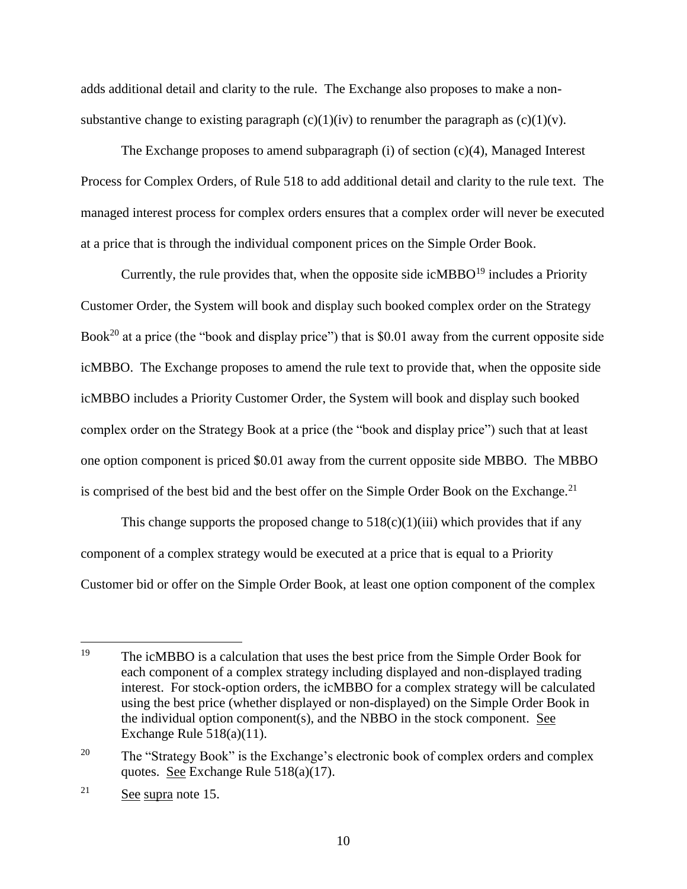adds additional detail and clarity to the rule. The Exchange also proposes to make a nonsubstantive change to existing paragraph (c)(1)(iv) to renumber the paragraph as (c)(1)(v).

The Exchange proposes to amend subparagraph (i) of section  $(c)(4)$ , Managed Interest Process for Complex Orders, of Rule 518 to add additional detail and clarity to the rule text. The managed interest process for complex orders ensures that a complex order will never be executed at a price that is through the individual component prices on the Simple Order Book.

Currently, the rule provides that, when the opposite side icMBBO $19$  includes a Priority Customer Order, the System will book and display such booked complex order on the Strategy Book<sup>20</sup> at a price (the "book and display price") that is \$0.01 away from the current opposite side icMBBO. The Exchange proposes to amend the rule text to provide that, when the opposite side icMBBO includes a Priority Customer Order, the System will book and display such booked complex order on the Strategy Book at a price (the "book and display price") such that at least one option component is priced \$0.01 away from the current opposite side MBBO. The MBBO is comprised of the best bid and the best offer on the Simple Order Book on the Exchange.<sup>21</sup>

This change supports the proposed change to  $518(c)(1)(iii)$  which provides that if any component of a complex strategy would be executed at a price that is equal to a Priority Customer bid or offer on the Simple Order Book, at least one option component of the complex

<sup>&</sup>lt;sup>19</sup> The icMBBO is a calculation that uses the best price from the Simple Order Book for each component of a complex strategy including displayed and non-displayed trading interest. For stock-option orders, the icMBBO for a complex strategy will be calculated using the best price (whether displayed or non-displayed) on the Simple Order Book in the individual option component(s), and the NBBO in the stock component. See Exchange Rule 518(a)(11).

<sup>&</sup>lt;sup>20</sup> The "Strategy Book" is the Exchange's electronic book of complex orders and complex quotes. See Exchange Rule 518(a)(17).

 $21$  See supra note 15.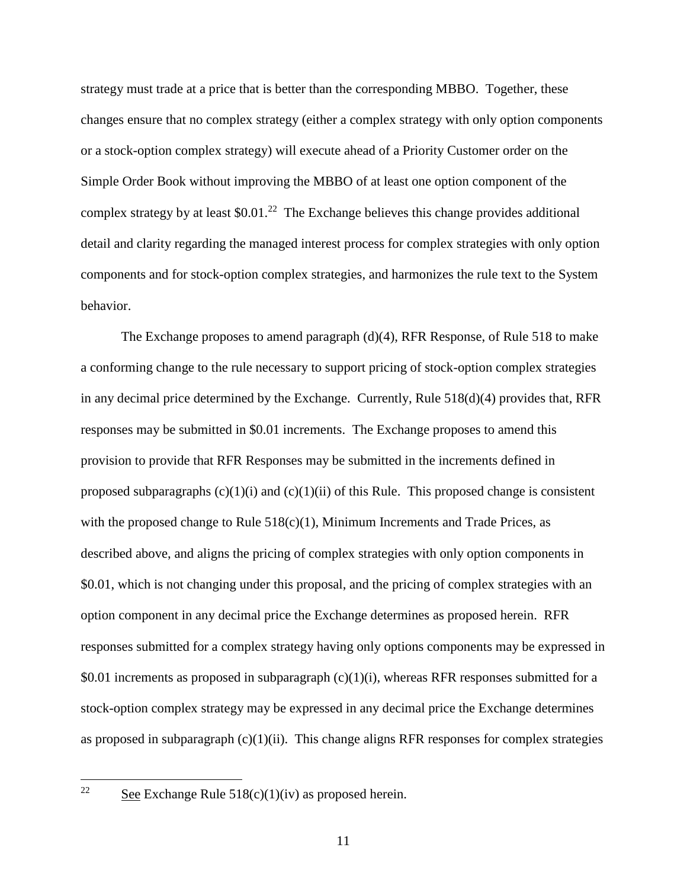strategy must trade at a price that is better than the corresponding MBBO. Together, these changes ensure that no complex strategy (either a complex strategy with only option components or a stock-option complex strategy) will execute ahead of a Priority Customer order on the Simple Order Book without improving the MBBO of at least one option component of the complex strategy by at least  $$0.01<sup>22</sup>$  The Exchange believes this change provides additional detail and clarity regarding the managed interest process for complex strategies with only option components and for stock-option complex strategies, and harmonizes the rule text to the System behavior.

The Exchange proposes to amend paragraph (d)(4), RFR Response, of Rule 518 to make a conforming change to the rule necessary to support pricing of stock-option complex strategies in any decimal price determined by the Exchange. Currently, Rule 518(d)(4) provides that, RFR responses may be submitted in \$0.01 increments. The Exchange proposes to amend this provision to provide that RFR Responses may be submitted in the increments defined in proposed subparagraphs  $(c)(1)(i)$  and  $(c)(1)(ii)$  of this Rule. This proposed change is consistent with the proposed change to Rule  $518(c)(1)$ , Minimum Increments and Trade Prices, as described above, and aligns the pricing of complex strategies with only option components in \$0.01, which is not changing under this proposal, and the pricing of complex strategies with an option component in any decimal price the Exchange determines as proposed herein. RFR responses submitted for a complex strategy having only options components may be expressed in \$0.01 increments as proposed in subparagraph  $(c)(1)(i)$ , whereas RFR responses submitted for a stock-option complex strategy may be expressed in any decimal price the Exchange determines as proposed in subparagraph  $(c)(1)(ii)$ . This change aligns RFR responses for complex strategies

 $22$ 

See Exchange Rule  $518(c)(1)(iv)$  as proposed herein.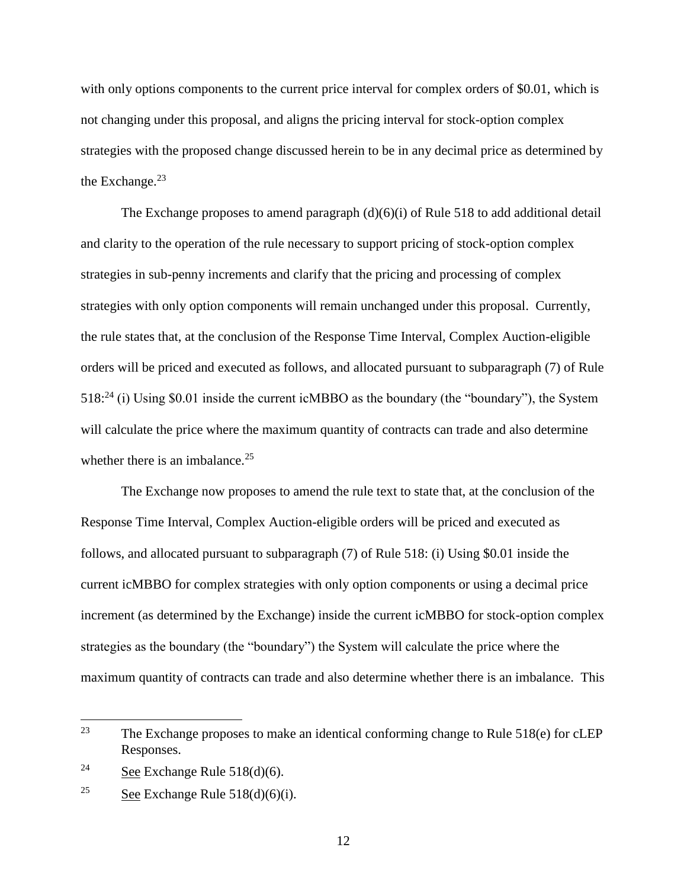with only options components to the current price interval for complex orders of \$0.01, which is not changing under this proposal, and aligns the pricing interval for stock-option complex strategies with the proposed change discussed herein to be in any decimal price as determined by the Exchange. $23$ 

The Exchange proposes to amend paragraph (d)(6)(i) of Rule 518 to add additional detail and clarity to the operation of the rule necessary to support pricing of stock-option complex strategies in sub-penny increments and clarify that the pricing and processing of complex strategies with only option components will remain unchanged under this proposal. Currently, the rule states that, at the conclusion of the Response Time Interval, Complex Auction-eligible orders will be priced and executed as follows, and allocated pursuant to subparagraph (7) of Rule 518:<sup>24</sup> (i) Using \$0.01 inside the current icMBBO as the boundary (the "boundary"), the System will calculate the price where the maximum quantity of contracts can trade and also determine whether there is an imbalance. $25$ 

The Exchange now proposes to amend the rule text to state that, at the conclusion of the Response Time Interval, Complex Auction-eligible orders will be priced and executed as follows, and allocated pursuant to subparagraph (7) of Rule 518: (i) Using \$0.01 inside the current icMBBO for complex strategies with only option components or using a decimal price increment (as determined by the Exchange) inside the current icMBBO for stock-option complex strategies as the boundary (the "boundary") the System will calculate the price where the maximum quantity of contracts can trade and also determine whether there is an imbalance. This

<sup>23</sup> The Exchange proposes to make an identical conforming change to Rule  $518(e)$  for cLEP Responses.

<sup>&</sup>lt;sup>24</sup> See Exchange Rule 518(d)(6).

<sup>&</sup>lt;sup>25</sup> See Exchange Rule  $518(d)(6)(i)$ .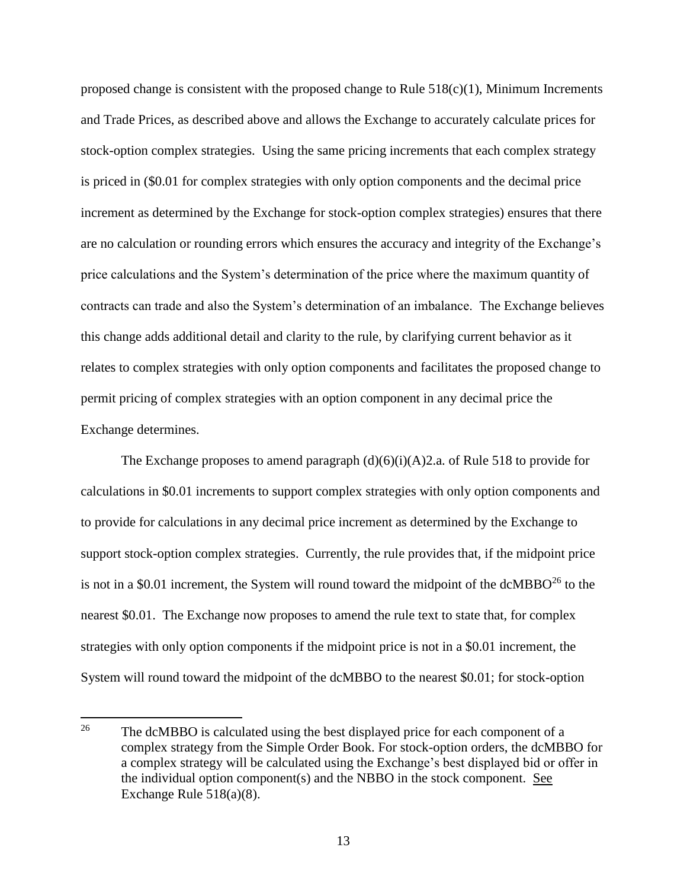proposed change is consistent with the proposed change to Rule  $518(c)(1)$ , Minimum Increments and Trade Prices, as described above and allows the Exchange to accurately calculate prices for stock-option complex strategies. Using the same pricing increments that each complex strategy is priced in (\$0.01 for complex strategies with only option components and the decimal price increment as determined by the Exchange for stock-option complex strategies) ensures that there are no calculation or rounding errors which ensures the accuracy and integrity of the Exchange's price calculations and the System's determination of the price where the maximum quantity of contracts can trade and also the System's determination of an imbalance. The Exchange believes this change adds additional detail and clarity to the rule, by clarifying current behavior as it relates to complex strategies with only option components and facilitates the proposed change to permit pricing of complex strategies with an option component in any decimal price the Exchange determines.

The Exchange proposes to amend paragraph  $(d)(6)(i)(A)2$ .a. of Rule 518 to provide for calculations in \$0.01 increments to support complex strategies with only option components and to provide for calculations in any decimal price increment as determined by the Exchange to support stock-option complex strategies. Currently, the rule provides that, if the midpoint price is not in a \$0.01 increment, the System will round toward the midpoint of the dcMBBO $^{26}$  to the nearest \$0.01. The Exchange now proposes to amend the rule text to state that, for complex strategies with only option components if the midpoint price is not in a \$0.01 increment, the System will round toward the midpoint of the dcMBBO to the nearest \$0.01; for stock-option

<sup>&</sup>lt;sup>26</sup> The dcMBBO is calculated using the best displayed price for each component of a complex strategy from the Simple Order Book. For stock-option orders, the dcMBBO for a complex strategy will be calculated using the Exchange's best displayed bid or offer in the individual option component(s) and the NBBO in the stock component. See Exchange Rule 518(a)(8).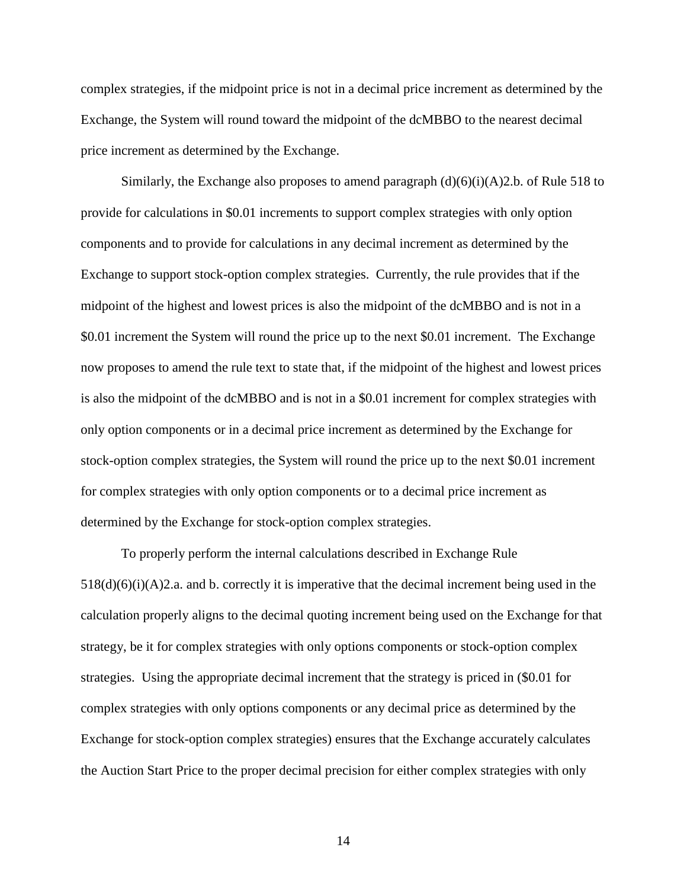complex strategies, if the midpoint price is not in a decimal price increment as determined by the Exchange, the System will round toward the midpoint of the dcMBBO to the nearest decimal price increment as determined by the Exchange.

Similarly, the Exchange also proposes to amend paragraph  $(d)(6)(i)(A)2.b.$  of Rule 518 to provide for calculations in \$0.01 increments to support complex strategies with only option components and to provide for calculations in any decimal increment as determined by the Exchange to support stock-option complex strategies. Currently, the rule provides that if the midpoint of the highest and lowest prices is also the midpoint of the dcMBBO and is not in a \$0.01 increment the System will round the price up to the next \$0.01 increment. The Exchange now proposes to amend the rule text to state that, if the midpoint of the highest and lowest prices is also the midpoint of the dcMBBO and is not in a \$0.01 increment for complex strategies with only option components or in a decimal price increment as determined by the Exchange for stock-option complex strategies, the System will round the price up to the next \$0.01 increment for complex strategies with only option components or to a decimal price increment as determined by the Exchange for stock-option complex strategies.

To properly perform the internal calculations described in Exchange Rule  $518(d)(6)(i)(A)2$ .a. and b. correctly it is imperative that the decimal increment being used in the calculation properly aligns to the decimal quoting increment being used on the Exchange for that strategy, be it for complex strategies with only options components or stock-option complex strategies. Using the appropriate decimal increment that the strategy is priced in (\$0.01 for complex strategies with only options components or any decimal price as determined by the Exchange for stock-option complex strategies) ensures that the Exchange accurately calculates the Auction Start Price to the proper decimal precision for either complex strategies with only

14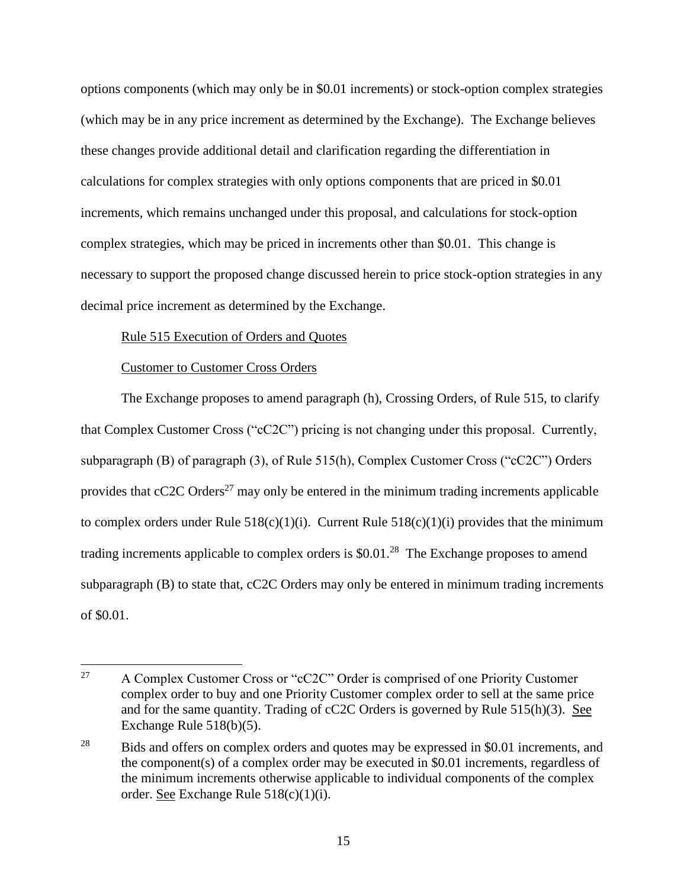options components (which may only be in \$0.01 increments) or stock-option complex strategies (which may be in any price increment as determined by the Exchange). The Exchange believes these changes provide additional detail and clarification regarding the differentiation in calculations for complex strategies with only options components that are priced in \$0.01 increments, which remains unchanged under this proposal, and calculations for stock-option complex strategies, which may be priced in increments other than \$0.01. This change is necessary to support the proposed change discussed herein to price stock-option strategies in any decimal price increment as determined by the Exchange.

#### Rule 515 Execution of Orders and Quotes

#### Customer to Customer Cross Orders

The Exchange proposes to amend paragraph (h), Crossing Orders, of Rule 515, to clarify that Complex Customer Cross ("cC2C") pricing is not changing under this proposal. Currently, subparagraph (B) of paragraph (3), of Rule 515(h), Complex Customer Cross ("cC2C") Orders provides that  $cC2C$  Orders<sup>27</sup> may only be entered in the minimum trading increments applicable to complex orders under Rule  $518(c)(1)(i)$ . Current Rule  $518(c)(1)(i)$  provides that the minimum trading increments applicable to complex orders is  $$0.01<sup>28</sup>$  The Exchange proposes to amend subparagraph (B) to state that, cC2C Orders may only be entered in minimum trading increments of \$0.01.

<sup>27</sup> <sup>27</sup> A Complex Customer Cross or "cC2C" Order is comprised of one Priority Customer complex order to buy and one Priority Customer complex order to sell at the same price and for the same quantity. Trading of cC2C Orders is governed by Rule 515(h)(3). See Exchange Rule 518(b)(5).

<sup>&</sup>lt;sup>28</sup> Bids and offers on complex orders and quotes may be expressed in \$0.01 increments, and the component(s) of a complex order may be executed in \$0.01 increments, regardless of the minimum increments otherwise applicable to individual components of the complex order. See Exchange Rule 518(c)(1)(i).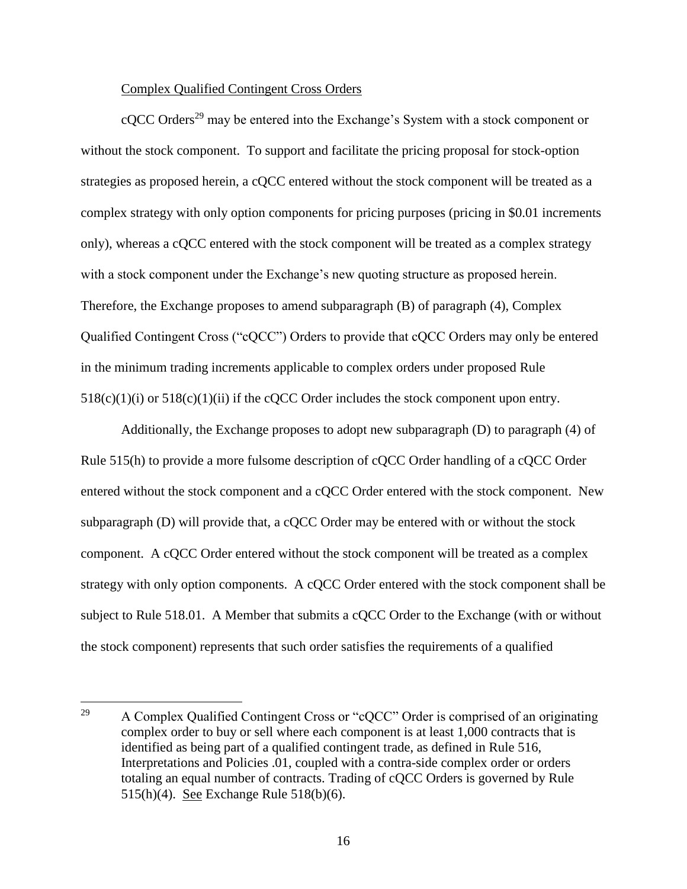#### Complex Qualified Contingent Cross Orders

cQCC Orders<sup>29</sup> may be entered into the Exchange's System with a stock component or without the stock component. To support and facilitate the pricing proposal for stock-option strategies as proposed herein, a cQCC entered without the stock component will be treated as a complex strategy with only option components for pricing purposes (pricing in \$0.01 increments only), whereas a cQCC entered with the stock component will be treated as a complex strategy with a stock component under the Exchange's new quoting structure as proposed herein. Therefore, the Exchange proposes to amend subparagraph (B) of paragraph (4), Complex Qualified Contingent Cross ("cQCC") Orders to provide that cQCC Orders may only be entered in the minimum trading increments applicable to complex orders under proposed Rule  $518(c)(1)(i)$  or  $518(c)(1)(ii)$  if the cQCC Order includes the stock component upon entry.

Additionally, the Exchange proposes to adopt new subparagraph (D) to paragraph (4) of Rule 515(h) to provide a more fulsome description of cQCC Order handling of a cQCC Order entered without the stock component and a cQCC Order entered with the stock component. New subparagraph (D) will provide that, a cQCC Order may be entered with or without the stock component. A cQCC Order entered without the stock component will be treated as a complex strategy with only option components. A cQCC Order entered with the stock component shall be subject to Rule 518.01. A Member that submits a cQCC Order to the Exchange (with or without the stock component) represents that such order satisfies the requirements of a qualified

 $\overline{a}$ <sup>29</sup> A Complex Qualified Contingent Cross or "cQCC" Order is comprised of an originating complex order to buy or sell where each component is at least 1,000 contracts that is identified as being part of a qualified contingent trade, as defined in Rule 516, Interpretations and Policies .01, coupled with a contra-side complex order or orders totaling an equal number of contracts. Trading of cQCC Orders is governed by Rule 515(h)(4). See Exchange Rule 518(b)(6).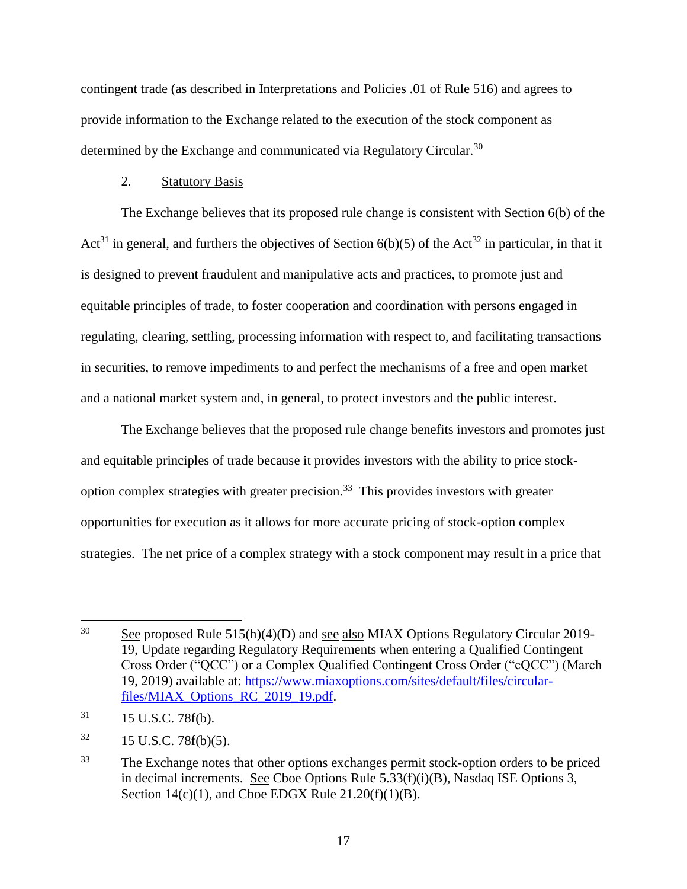contingent trade (as described in Interpretations and Policies .01 of Rule 516) and agrees to provide information to the Exchange related to the execution of the stock component as determined by the Exchange and communicated via Regulatory Circular.<sup>30</sup>

## 2. Statutory Basis

The Exchange believes that its proposed rule change is consistent with Section 6(b) of the Act<sup>31</sup> in general, and furthers the objectives of Section  $6(b)(5)$  of the Act<sup>32</sup> in particular, in that it is designed to prevent fraudulent and manipulative acts and practices, to promote just and equitable principles of trade, to foster cooperation and coordination with persons engaged in regulating, clearing, settling, processing information with respect to, and facilitating transactions in securities, to remove impediments to and perfect the mechanisms of a free and open market and a national market system and, in general, to protect investors and the public interest.

The Exchange believes that the proposed rule change benefits investors and promotes just and equitable principles of trade because it provides investors with the ability to price stockoption complex strategies with greater precision.<sup>33</sup> This provides investors with greater opportunities for execution as it allows for more accurate pricing of stock-option complex strategies. The net price of a complex strategy with a stock component may result in a price that

 $30$  See proposed Rule 515(h)(4)(D) and see also MIAX Options Regulatory Circular 2019-19, Update regarding Regulatory Requirements when entering a Qualified Contingent Cross Order ("QCC") or a Complex Qualified Contingent Cross Order ("cQCC") (March 19, 2019) available at: [https://www.miaxoptions.com/sites/default/files/circular](https://www.miaxoptions.com/sites/default/files/circular-files/MIAX_Options_RC_2019_19.pdf)[files/MIAX\\_Options\\_RC\\_2019\\_19.pdf.](https://www.miaxoptions.com/sites/default/files/circular-files/MIAX_Options_RC_2019_19.pdf)

 $31$  15 U.S.C. 78f(b).

 $32 \qquad 15 \text{ U.S.C. } 78f(b)(5).$ 

<sup>&</sup>lt;sup>33</sup> The Exchange notes that other options exchanges permit stock-option orders to be priced in decimal increments. See Cboe Options Rule 5.33(f)(i)(B), Nasdaq ISE Options 3, Section  $14(c)(1)$ , and Cboe EDGX Rule  $21.20(f)(1)(B)$ .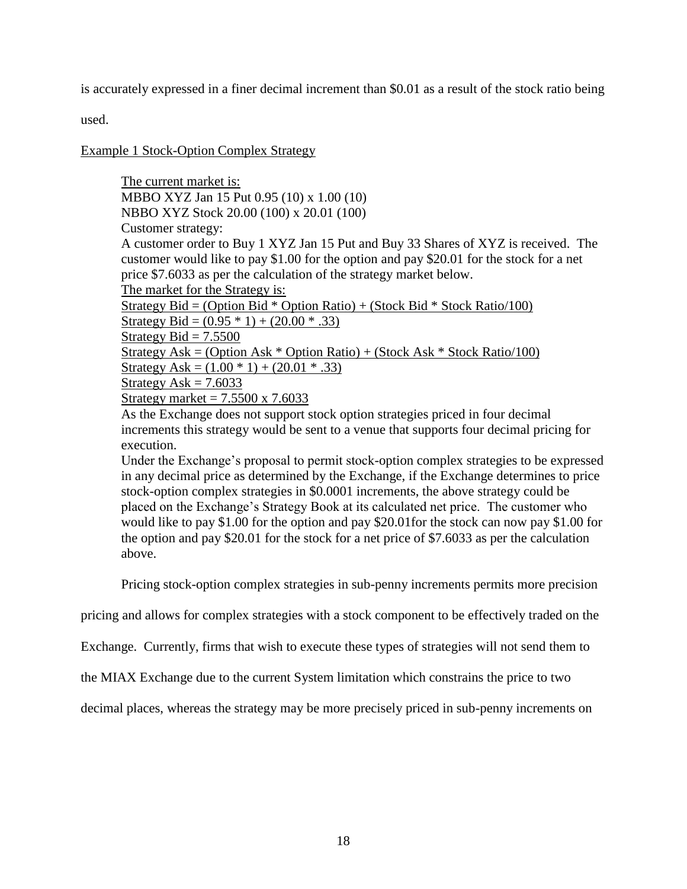is accurately expressed in a finer decimal increment than \$0.01 as a result of the stock ratio being

used.

Example 1 Stock-Option Complex Strategy

The current market is: MBBO XYZ Jan 15 Put 0.95 (10) x 1.00 (10) NBBO XYZ Stock 20.00 (100) x 20.01 (100) Customer strategy: A customer order to Buy 1 XYZ Jan 15 Put and Buy 33 Shares of XYZ is received. The customer would like to pay \$1.00 for the option and pay \$20.01 for the stock for a net price \$7.6033 as per the calculation of the strategy market below. The market for the Strategy is: Strategy Bid = (Option Bid  $*$  Option Ratio) + (Stock Bid  $*$  Stock Ratio/100) Strategy Bid =  $(0.95 * 1) + (20.00 * .33)$ Strategy Bid  $= 7.5500$ Strategy Ask = (Option Ask  $*$  Option Ratio) + (Stock Ask  $*$  Stock Ratio/100) Strategy Ask =  $(1.00 * 1) + (20.01 * .33)$ Strategy Ask  $= 7.6033$ Strategy market  $= 7.5500 \times 7.6033$ 

As the Exchange does not support stock option strategies priced in four decimal increments this strategy would be sent to a venue that supports four decimal pricing for execution.

Under the Exchange's proposal to permit stock-option complex strategies to be expressed in any decimal price as determined by the Exchange, if the Exchange determines to price stock-option complex strategies in \$0.0001 increments, the above strategy could be placed on the Exchange's Strategy Book at its calculated net price. The customer who would like to pay \$1.00 for the option and pay \$20.01for the stock can now pay \$1.00 for the option and pay \$20.01 for the stock for a net price of \$7.6033 as per the calculation above.

Pricing stock-option complex strategies in sub-penny increments permits more precision

pricing and allows for complex strategies with a stock component to be effectively traded on the

Exchange. Currently, firms that wish to execute these types of strategies will not send them to

the MIAX Exchange due to the current System limitation which constrains the price to two

decimal places, whereas the strategy may be more precisely priced in sub-penny increments on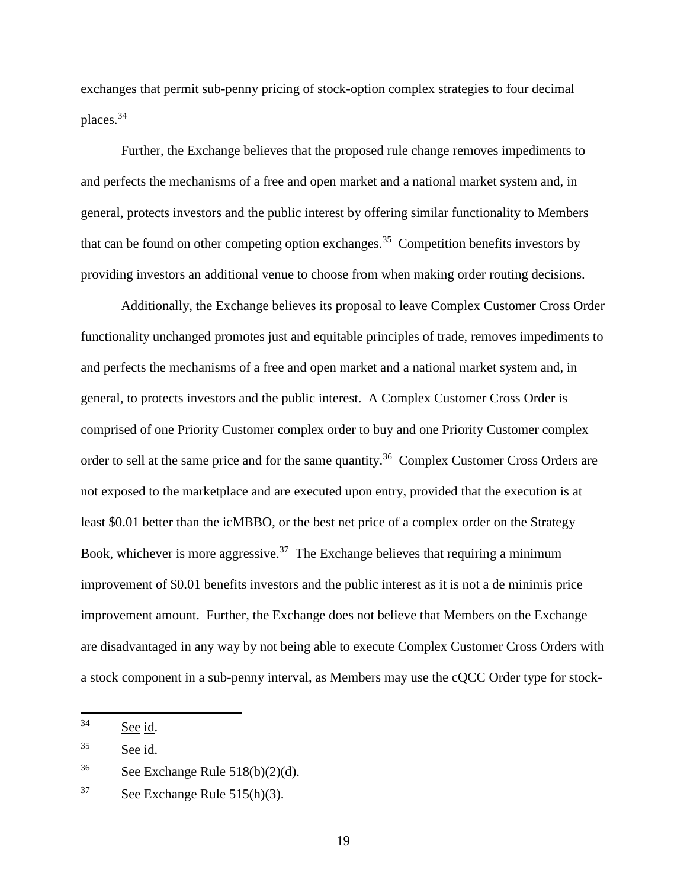exchanges that permit sub-penny pricing of stock-option complex strategies to four decimal places.<sup>34</sup>

Further, the Exchange believes that the proposed rule change removes impediments to and perfects the mechanisms of a free and open market and a national market system and, in general, protects investors and the public interest by offering similar functionality to Members that can be found on other competing option exchanges.<sup>35</sup> Competition benefits investors by providing investors an additional venue to choose from when making order routing decisions.

Additionally, the Exchange believes its proposal to leave Complex Customer Cross Order functionality unchanged promotes just and equitable principles of trade, removes impediments to and perfects the mechanisms of a free and open market and a national market system and, in general, to protects investors and the public interest. A Complex Customer Cross Order is comprised of one Priority Customer complex order to buy and one Priority Customer complex order to sell at the same price and for the same quantity.<sup>36</sup> Complex Customer Cross Orders are not exposed to the marketplace and are executed upon entry, provided that the execution is at least \$0.01 better than the icMBBO, or the best net price of a complex order on the Strategy Book, whichever is more aggressive.<sup>37</sup> The Exchange believes that requiring a minimum improvement of \$0.01 benefits investors and the public interest as it is not a de minimis price improvement amount. Further, the Exchange does not believe that Members on the Exchange are disadvantaged in any way by not being able to execute Complex Customer Cross Orders with a stock component in a sub-penny interval, as Members may use the cQCC Order type for stock-

<sup>34</sup> See id.

<sup>35</sup> See id.

<sup>&</sup>lt;sup>36</sup> See Exchange Rule  $518(b)(2)(d)$ .

 $37$  See Exchange Rule 515(h)(3).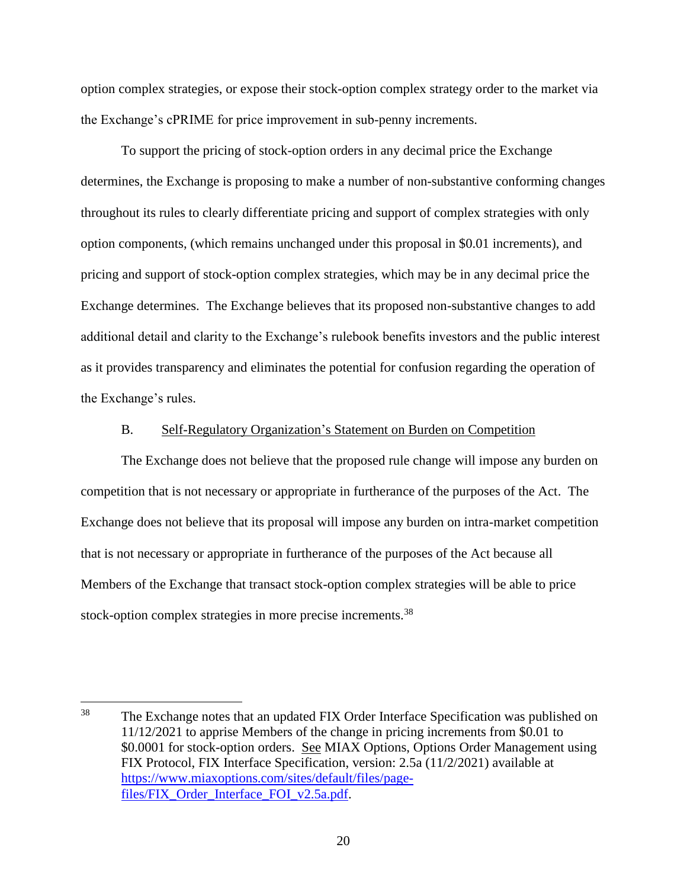option complex strategies, or expose their stock-option complex strategy order to the market via the Exchange's cPRIME for price improvement in sub-penny increments.

To support the pricing of stock-option orders in any decimal price the Exchange determines, the Exchange is proposing to make a number of non-substantive conforming changes throughout its rules to clearly differentiate pricing and support of complex strategies with only option components, (which remains unchanged under this proposal in \$0.01 increments), and pricing and support of stock-option complex strategies, which may be in any decimal price the Exchange determines. The Exchange believes that its proposed non-substantive changes to add additional detail and clarity to the Exchange's rulebook benefits investors and the public interest as it provides transparency and eliminates the potential for confusion regarding the operation of the Exchange's rules.

## B. Self-Regulatory Organization's Statement on Burden on Competition

The Exchange does not believe that the proposed rule change will impose any burden on competition that is not necessary or appropriate in furtherance of the purposes of the Act. The Exchange does not believe that its proposal will impose any burden on intra-market competition that is not necessary or appropriate in furtherance of the purposes of the Act because all Members of the Exchange that transact stock-option complex strategies will be able to price stock-option complex strategies in more precise increments.<sup>38</sup>

<sup>38</sup> The Exchange notes that an updated FIX Order Interface Specification was published on 11/12/2021 to apprise Members of the change in pricing increments from \$0.01 to \$0.0001 for stock-option orders. See MIAX Options, Options Order Management using FIX Protocol, FIX Interface Specification, version: 2.5a (11/2/2021) available at [https://www.miaxoptions.com/sites/default/files/page](https://www.miaxoptions.com/sites/default/files/page-files/FIX_Order_Interface_FOI_v2.5a.pdf)[files/FIX\\_Order\\_Interface\\_FOI\\_v2.5a.pdf.](https://www.miaxoptions.com/sites/default/files/page-files/FIX_Order_Interface_FOI_v2.5a.pdf)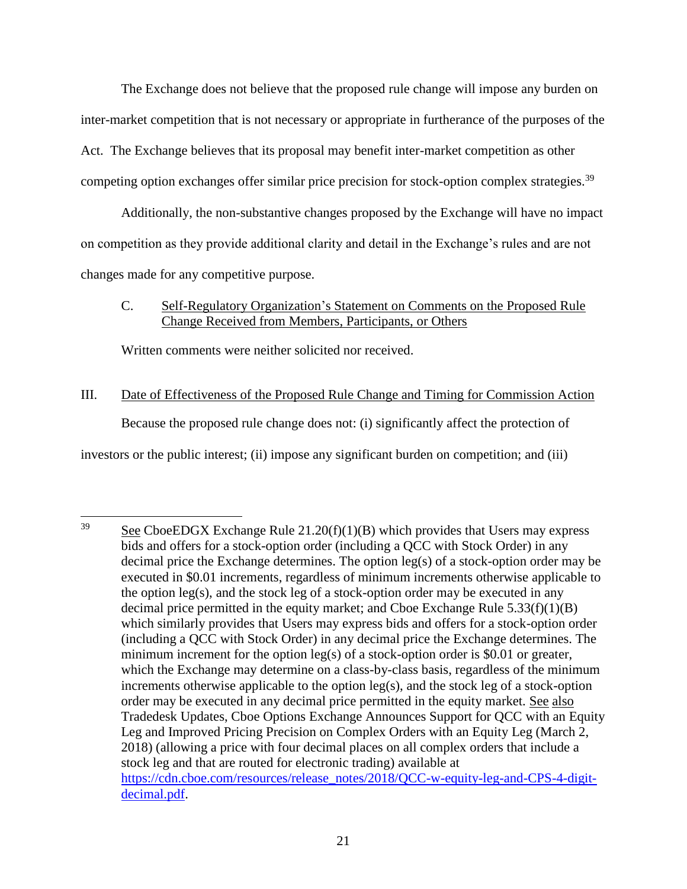The Exchange does not believe that the proposed rule change will impose any burden on inter-market competition that is not necessary or appropriate in furtherance of the purposes of the Act. The Exchange believes that its proposal may benefit inter-market competition as other competing option exchanges offer similar price precision for stock-option complex strategies.<sup>39</sup>

Additionally, the non-substantive changes proposed by the Exchange will have no impact on competition as they provide additional clarity and detail in the Exchange's rules and are not changes made for any competitive purpose.

# C. Self-Regulatory Organization's Statement on Comments on the Proposed Rule Change Received from Members, Participants, or Others

Written comments were neither solicited nor received.

# III. Date of Effectiveness of the Proposed Rule Change and Timing for Commission Action Because the proposed rule change does not: (i) significantly affect the protection of investors or the public interest; (ii) impose any significant burden on competition; and (iii)

<sup>39</sup> See CboeEDGX Exchange Rule  $21.20(f)(1)(B)$  which provides that Users may express bids and offers for a stock-option order (including a QCC with Stock Order) in any decimal price the Exchange determines. The option leg(s) of a stock-option order may be executed in \$0.01 increments, regardless of minimum increments otherwise applicable to the option leg(s), and the stock leg of a stock-option order may be executed in any decimal price permitted in the equity market; and Cboe Exchange Rule 5.33(f)(1)(B) which similarly provides that Users may express bids and offers for a stock-option order (including a QCC with Stock Order) in any decimal price the Exchange determines. The minimum increment for the option  $leg(s)$  of a stock-option order is \$0.01 or greater, which the Exchange may determine on a class-by-class basis, regardless of the minimum increments otherwise applicable to the option leg(s), and the stock leg of a stock-option order may be executed in any decimal price permitted in the equity market. See also Tradedesk Updates, Cboe Options Exchange Announces Support for QCC with an Equity Leg and Improved Pricing Precision on Complex Orders with an Equity Leg (March 2, 2018) (allowing a price with four decimal places on all complex orders that include a stock leg and that are routed for electronic trading) available at [https://cdn.cboe.com/resources/release\\_notes/2018/QCC-w-equity-leg-and-CPS-4-digit](https://cdn.cboe.com/resources/release_notes/2018/QCC-w-equity-leg-and-CPS-4-digit-decimal.pdf)[decimal.pdf.](https://cdn.cboe.com/resources/release_notes/2018/QCC-w-equity-leg-and-CPS-4-digit-decimal.pdf)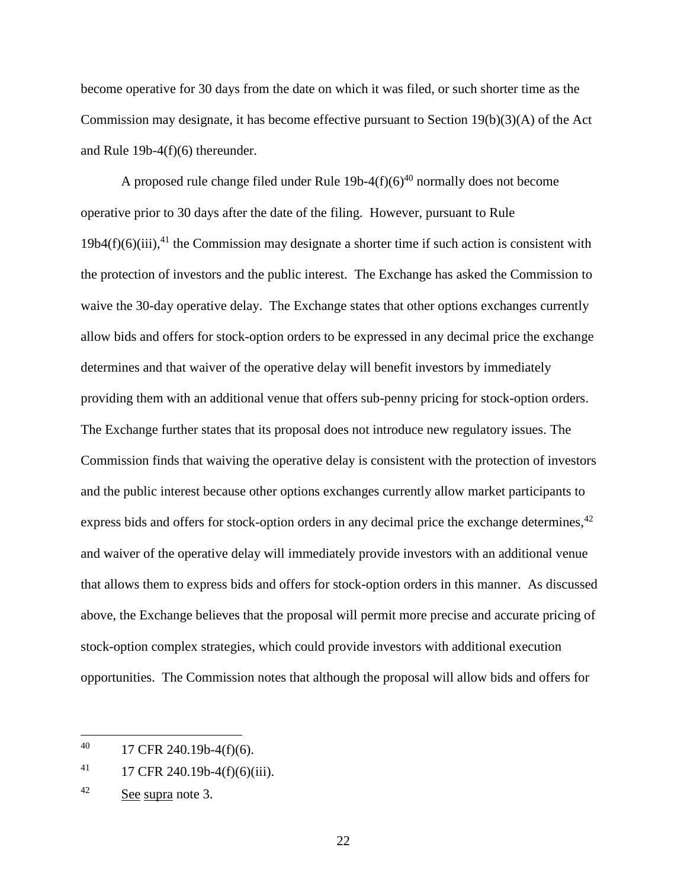become operative for 30 days from the date on which it was filed, or such shorter time as the Commission may designate, it has become effective pursuant to Section 19(b)(3)(A) of the Act and Rule 19b-4(f)(6) thereunder.

A proposed rule change filed under Rule  $19b-4(f)(6)^{40}$  normally does not become operative prior to 30 days after the date of the filing. However, pursuant to Rule  $19b4(f)(6)(iii)$ ,<sup>41</sup>, the Commission may designate a shorter time if such action is consistent with the protection of investors and the public interest. The Exchange has asked the Commission to waive the 30-day operative delay. The Exchange states that other options exchanges currently allow bids and offers for stock-option orders to be expressed in any decimal price the exchange determines and that waiver of the operative delay will benefit investors by immediately providing them with an additional venue that offers sub-penny pricing for stock-option orders. The Exchange further states that its proposal does not introduce new regulatory issues. The Commission finds that waiving the operative delay is consistent with the protection of investors and the public interest because other options exchanges currently allow market participants to express bids and offers for stock-option orders in any decimal price the exchange determines,<sup>42</sup> and waiver of the operative delay will immediately provide investors with an additional venue that allows them to express bids and offers for stock-option orders in this manner. As discussed above, the Exchange believes that the proposal will permit more precise and accurate pricing of stock-option complex strategies, which could provide investors with additional execution opportunities. The Commission notes that although the proposal will allow bids and offers for

 $\overline{a}$ 

22

 $^{40}$  17 CFR 240.19b-4(f)(6).

 $^{41}$  17 CFR 240.19b-4(f)(6)(iii).

<sup>42</sup> See supra note [3.](#page-1-0)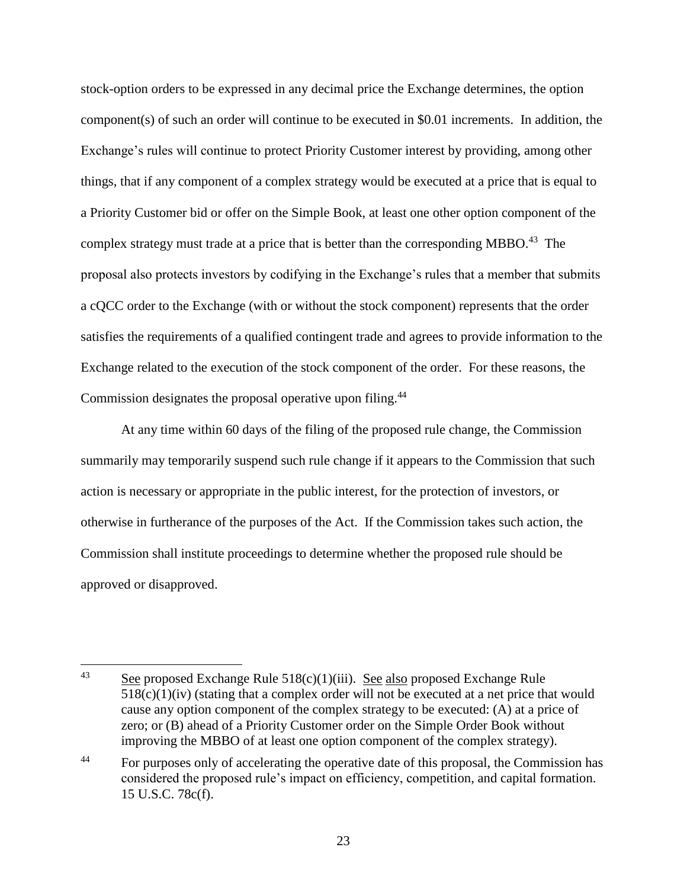stock-option orders to be expressed in any decimal price the Exchange determines, the option component(s) of such an order will continue to be executed in \$0.01 increments. In addition, the Exchange's rules will continue to protect Priority Customer interest by providing, among other things, that if any component of a complex strategy would be executed at a price that is equal to a Priority Customer bid or offer on the Simple Book, at least one other option component of the complex strategy must trade at a price that is better than the corresponding MBBO.<sup>43</sup> The proposal also protects investors by codifying in the Exchange's rules that a member that submits a cQCC order to the Exchange (with or without the stock component) represents that the order satisfies the requirements of a qualified contingent trade and agrees to provide information to the Exchange related to the execution of the stock component of the order. For these reasons, the Commission designates the proposal operative upon filing.<sup>44</sup>

At any time within 60 days of the filing of the proposed rule change, the Commission summarily may temporarily suspend such rule change if it appears to the Commission that such action is necessary or appropriate in the public interest, for the protection of investors, or otherwise in furtherance of the purposes of the Act. If the Commission takes such action, the Commission shall institute proceedings to determine whether the proposed rule should be approved or disapproved.

 $43$ See proposed Exchange Rule  $518(c)(1)(iii)$ . See also proposed Exchange Rule  $518(c)(1)(iv)$  (stating that a complex order will not be executed at a net price that would cause any option component of the complex strategy to be executed: (A) at a price of zero; or (B) ahead of a Priority Customer order on the Simple Order Book without improving the MBBO of at least one option component of the complex strategy).

<sup>&</sup>lt;sup>44</sup> For purposes only of accelerating the operative date of this proposal, the Commission has considered the proposed rule's impact on efficiency, competition, and capital formation. 15 U.S.C. 78c(f).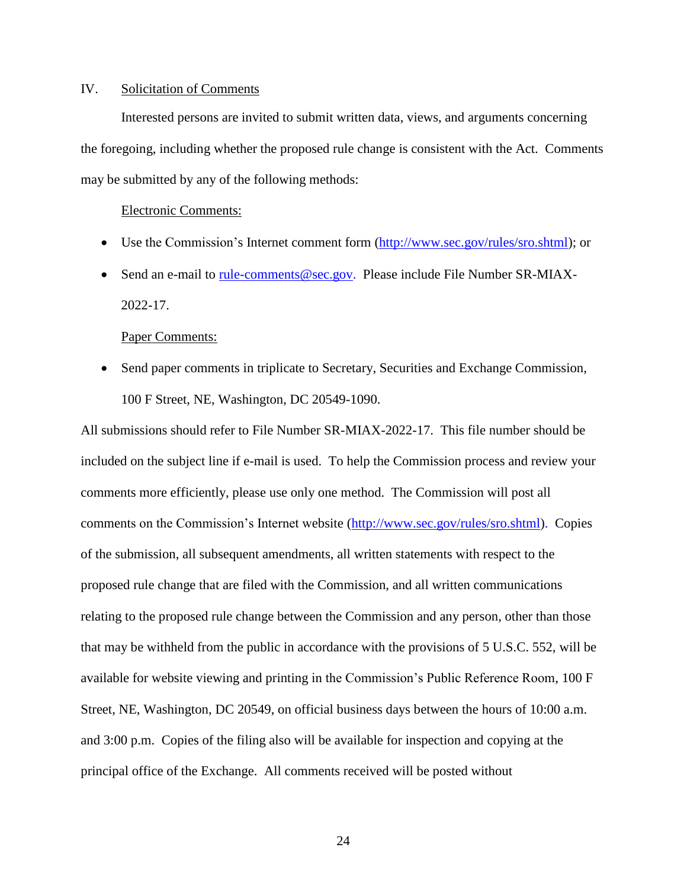## IV. Solicitation of Comments

Interested persons are invited to submit written data, views, and arguments concerning the foregoing, including whether the proposed rule change is consistent with the Act. Comments may be submitted by any of the following methods:

#### Electronic Comments:

- Use the Commission's Internet comment form [\(http://www.sec.gov/rules/sro.shtml\)](http://www.sec.gov/rules/sro.shtml); or
- Send an e-mail to [rule-comments@sec.gov.](mailto:rule-comments@sec.gov) Please include File Number SR-MIAX-2022-17.

#### Paper Comments:

• Send paper comments in triplicate to Secretary, Securities and Exchange Commission, 100 F Street, NE, Washington, DC 20549-1090.

All submissions should refer to File Number SR-MIAX-2022-17. This file number should be included on the subject line if e-mail is used. To help the Commission process and review your comments more efficiently, please use only one method. The Commission will post all comments on the Commission's Internet website (http://www.sec.gov/rules/sro.shtml). Copies of the submission, all subsequent amendments, all written statements with respect to the proposed rule change that are filed with the Commission, and all written communications relating to the proposed rule change between the Commission and any person, other than those that may be withheld from the public in accordance with the provisions of 5 U.S.C. 552, will be available for website viewing and printing in the Commission's Public Reference Room, 100 F Street, NE, Washington, DC 20549, on official business days between the hours of 10:00 a.m. and 3:00 p.m. Copies of the filing also will be available for inspection and copying at the principal office of the Exchange. All comments received will be posted without